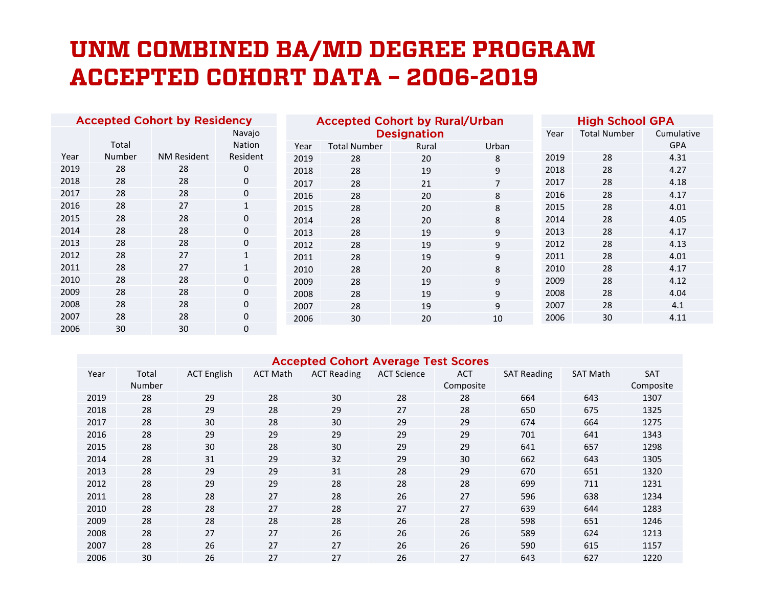## UNM COMBINED BA/MD DEGREE PROGRAM **ACCEPTED COHORT DATA - 2006-2019**

| <b>Accepted Cohort by Residency</b> |              |              | <b>Accepted Cohort by Rural/Urban</b> |      |                     |       | <b>High School GPA</b> |      |                     |            |
|-------------------------------------|--------------|--------------|---------------------------------------|------|---------------------|-------|------------------------|------|---------------------|------------|
|                                     |              | Navajo       |                                       |      | <b>Designation</b>  |       |                        |      | <b>Total Number</b> | Cumulative |
|                                     | Total        |              | Nation                                | Year | <b>Total Number</b> | Rural | Urban                  |      |                     | <b>GPA</b> |
| Year                                | Number       | NM Resident  | Resident                              | 2019 | 28                  | 20    | 8                      | 2019 | 28                  | 4.31       |
| 2019                                | 28           | 28           | 0                                     | 2018 | 28                  | 19    | 9                      | 2018 | 28                  | 4.27       |
| 2018                                | 28           | 28           | 0                                     | 2017 | 28                  | 21    | 7                      | 2017 | 28                  | 4.18       |
| 2017                                | 28           | 28           | 0                                     | 2016 | 28                  | 20    | 8                      | 2016 | 28                  | 4.17       |
| 2016                                | 28           | 27           | $\mathbf{1}$                          | 2015 | 28                  | 20    | 8                      | 2015 | 28                  | 4.01       |
| 2015                                | 28           | 28           | 0                                     | 2014 | 28                  | 20    | 8                      | 2014 | 28                  | 4.05       |
| 2014                                | 28           | 28           | 0                                     | 2013 | 28                  | 19    | 9                      | 2013 | 28                  | 4.17       |
| 2013                                | 28           | 28           | 0                                     | 2012 | 28                  | 19    | 9                      | 2012 | 28                  | 4.13       |
| 2012                                | 28           | 27           |                                       | 2011 | 28                  | 19    | 9                      | 2011 | 28                  | 4.01       |
| 2011                                | 28           | 27           | $\mathbf{1}$                          | 2010 | 28                  | 20    | 8                      | 2010 | 28                  | 4.17       |
| 2010                                | 28           | 28           | 0                                     | 2009 | 28                  | 19    | 9                      | 2009 | 28                  | 4.12       |
| 2009                                | 28           | 28           | 0                                     | 2008 | 28                  | 19    | 9                      | 2008 | 28                  | 4.04       |
| 2008                                | 28           | 28           | 0                                     | 2007 | 28                  | 19    | 9                      | 2007 | 28                  | 4.1        |
| 2007                                | 28           | 28           | 0                                     | 2006 | 30                  | 20    | 10                     | 2006 | 30                  | 4.11       |
| 200c                                | $20^{\circ}$ | $20^{\circ}$ | <sup>n</sup>                          |      |                     |       |                        |      |                     |            |

## **Accepted Cohort Average Test Scores**

| Year | Total<br><b>Number</b> | <b>ACT English</b> | <b>ACT Math</b> | <b>ACT Reading</b> | <b>ACT Science</b> | <b>ACT</b><br>Composite | <b>SAT Reading</b> | <b>SAT Math</b> | <b>SAT</b><br>Composite |
|------|------------------------|--------------------|-----------------|--------------------|--------------------|-------------------------|--------------------|-----------------|-------------------------|
|      |                        |                    |                 |                    |                    |                         |                    |                 |                         |
| 2019 | 28                     | 29                 | 28              | 30                 | 28                 | 28                      | 664                | 643             | 1307                    |
| 2018 | 28                     | 29                 | 28              | 29                 | 27                 | 28                      | 650                | 675             | 1325                    |
| 2017 | 28                     | 30                 | 28              | 30                 | 29                 | 29                      | 674                | 664             | 1275                    |
| 2016 | 28                     | 29                 | 29              | 29                 | 29                 | 29                      | 701                | 641             | 1343                    |
| 2015 | 28                     | 30                 | 28              | 30 <sup>°</sup>    | 29                 | 29                      | 641                | 657             | 1298                    |
| 2014 | 28                     | 31                 | 29              | 32                 | 29                 | 30                      | 662                | 643             | 1305                    |
| 2013 | 28                     | 29                 | 29              | 31                 | 28                 | 29                      | 670                | 651             | 1320                    |
| 2012 | 28                     | 29                 | 29              | 28                 | 28                 | 28                      | 699                | 711             | 1231                    |
| 2011 | 28                     | 28                 | 27              | 28                 | 26                 | 27                      | 596                | 638             | 1234                    |
| 2010 | 28                     | 28                 | 27              | 28                 | 27                 | 27                      | 639                | 644             | 1283                    |
| 2009 | 28                     | 28                 | 28              | 28                 | 26                 | 28                      | 598                | 651             | 1246                    |
| 2008 | 28                     | 27                 | 27              | 26                 | 26                 | 26                      | 589                | 624             | 1213                    |
| 2007 | 28                     | 26                 | 27              | 27                 | 26                 | 26                      | 590                | 615             | 1157                    |
| 2006 | 30                     | 26                 | 27              | 27                 | 26                 | 27                      | 643                | 627             | 1220                    |
|      |                        |                    |                 |                    |                    |                         |                    |                 |                         |